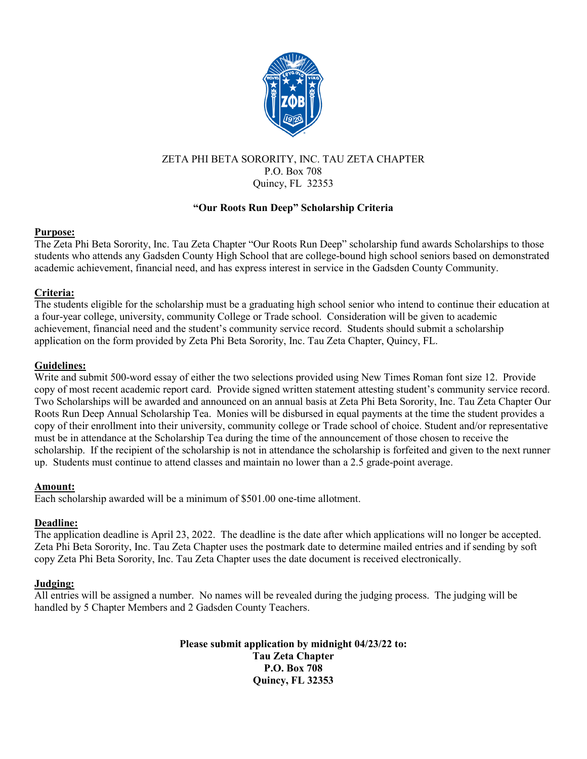

## ZETA PHI BETA SORORITY, INC. TAU ZETA CHAPTER P.O. Box 708 Quincy, FL 32353

## **"Our Roots Run Deep" Scholarship Criteria**

#### **Purpose:**

The Zeta Phi Beta Sorority, Inc. Tau Zeta Chapter "Our Roots Run Deep" scholarship fund awards Scholarships to those students who attends any Gadsden County High School that are college-bound high school seniors based on demonstrated academic achievement, financial need, and has express interest in service in the Gadsden County Community.

## **Criteria:**

The students eligible for the scholarship must be a graduating high school senior who intend to continue their education at a four-year college, university, community College or Trade school. Consideration will be given to academic achievement, financial need and the student's community service record. Students should submit a scholarship application on the form provided by Zeta Phi Beta Sorority, Inc. Tau Zeta Chapter, Quincy, FL.

## **Guidelines:**

Write and submit 500-word essay of either the two selections provided using New Times Roman font size 12. Provide copy of most recent academic report card. Provide signed written statement attesting student's community service record. Two Scholarships will be awarded and announced on an annual basis at Zeta Phi Beta Sorority, Inc. Tau Zeta Chapter Our Roots Run Deep Annual Scholarship Tea. Monies will be disbursed in equal payments at the time the student provides a copy of their enrollment into their university, community college or Trade school of choice. Student and/or representative must be in attendance at the Scholarship Tea during the time of the announcement of those chosen to receive the scholarship. If the recipient of the scholarship is not in attendance the scholarship is forfeited and given to the next runner up. Students must continue to attend classes and maintain no lower than a 2.5 grade-point average.

#### **Amount:**

Each scholarship awarded will be a minimum of \$501.00 one-time allotment.

## **Deadline:**

The application deadline is April 23, 2022. The deadline is the date after which applications will no longer be accepted. Zeta Phi Beta Sorority, Inc. Tau Zeta Chapter uses the postmark date to determine mailed entries and if sending by soft copy Zeta Phi Beta Sorority, Inc. Tau Zeta Chapter uses the date document is received electronically.

## **Judging:**

All entries will be assigned a number. No names will be revealed during the judging process. The judging will be handled by 5 Chapter Members and 2 Gadsden County Teachers.

> **Please submit application by midnight 04/23/22 to: Tau Zeta Chapter P.O. Box 708 Quincy, FL 32353**